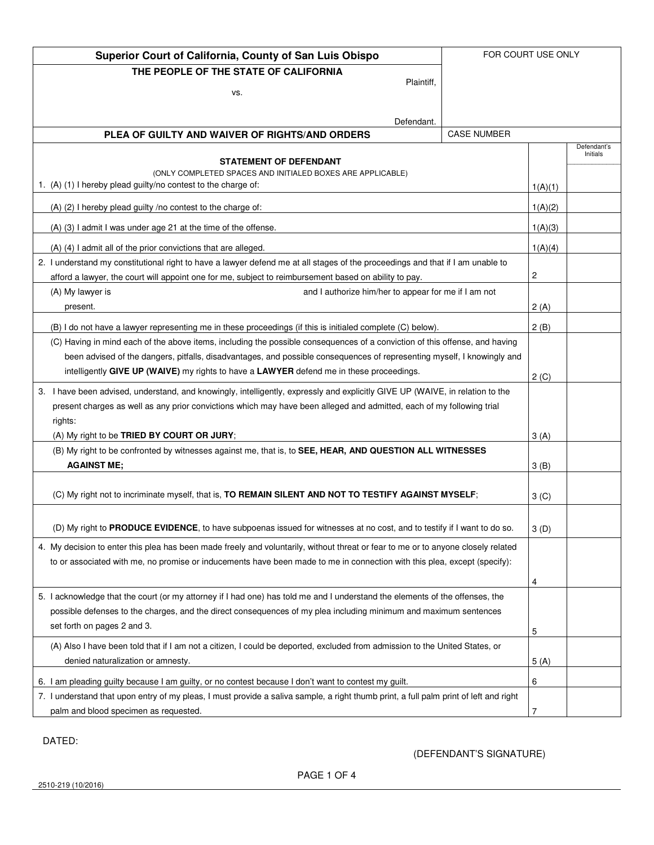| Superior Court of California, County of San Luis Obispo<br>FOR COURT USE ONLY                                                                          |  |                  |                         |
|--------------------------------------------------------------------------------------------------------------------------------------------------------|--|------------------|-------------------------|
| THE PEOPLE OF THE STATE OF CALIFORNIA                                                                                                                  |  |                  |                         |
| Plaintiff.<br>VS.                                                                                                                                      |  |                  |                         |
|                                                                                                                                                        |  |                  |                         |
| Defendant.                                                                                                                                             |  |                  |                         |
| PLEA OF GUILTY AND WAIVER OF RIGHTS/AND ORDERS<br><b>CASE NUMBER</b>                                                                                   |  |                  |                         |
| <b>STATEMENT OF DEFENDANT</b>                                                                                                                          |  |                  | Defendant's<br>Initials |
| (ONLY COMPLETED SPACES AND INITIALED BOXES ARE APPLICABLE)                                                                                             |  |                  |                         |
| 1. (A) (1) I hereby plead guilty/no contest to the charge of:                                                                                          |  | 1(A)(1)          |                         |
| (A) (2) I hereby plead guilty /no contest to the charge of:                                                                                            |  | 1(A)(2)          |                         |
| (A) (3) I admit I was under age 21 at the time of the offense.                                                                                         |  | 1(A)(3)          |                         |
| (A) (4) I admit all of the prior convictions that are alleged.                                                                                         |  | 1(A)(4)          |                         |
| 2. I understand my constitutional right to have a lawyer defend me at all stages of the proceedings and that if I am unable to                         |  |                  |                         |
| afford a lawyer, the court will appoint one for me, subject to reimbursement based on ability to pay.                                                  |  | 2                |                         |
| (A) My lawyer is<br>and I authorize him/her to appear for me if I am not                                                                               |  |                  |                         |
| present.                                                                                                                                               |  | 2(A)             |                         |
| (B) I do not have a lawyer representing me in these proceedings (if this is initialed complete (C) below).                                             |  | 2(B)             |                         |
| (C) Having in mind each of the above items, including the possible consequences of a conviction of this offense, and having                            |  |                  |                         |
| been advised of the dangers, pitfalls, disadvantages, and possible consequences of representing myself, I knowingly and                                |  |                  |                         |
| intelligently GIVE UP (WAIVE) my rights to have a LAWYER defend me in these proceedings.                                                               |  | 2(C)             |                         |
| 3. I have been advised, understand, and knowingly, intelligently, expressly and explicitly GIVE UP (WAIVE, in relation to the                          |  |                  |                         |
| present charges as well as any prior convictions which may have been alleged and admitted, each of my following trial                                  |  |                  |                         |
| rights:                                                                                                                                                |  |                  |                         |
| (A) My right to be TRIED BY COURT OR JURY;<br>(B) My right to be confronted by witnesses against me, that is, to SEE, HEAR, AND QUESTION ALL WITNESSES |  | 3(A)             |                         |
| <b>AGAINST ME;</b>                                                                                                                                     |  | 3(B)             |                         |
|                                                                                                                                                        |  |                  |                         |
| (C) My right not to incriminate myself, that is, TO REMAIN SILENT AND NOT TO TESTIFY AGAINST MYSELF;                                                   |  | 3 <sup>(C)</sup> |                         |
|                                                                                                                                                        |  |                  |                         |
| (D) My right to PRODUCE EVIDENCE, to have subpoenas issued for witnesses at no cost, and to testify if I want to do so.                                |  | 3(D)             |                         |
| 4. My decision to enter this plea has been made freely and voluntarily, without threat or fear to me or to anyone closely related                      |  |                  |                         |
| to or associated with me, no promise or inducements have been made to me in connection with this plea, except (specify):                               |  |                  |                         |
|                                                                                                                                                        |  | 4                |                         |
| 5. I acknowledge that the court (or my attorney if I had one) has told me and I understand the elements of the offenses, the                           |  |                  |                         |
| possible defenses to the charges, and the direct consequences of my plea including minimum and maximum sentences                                       |  |                  |                         |
| set forth on pages 2 and 3.                                                                                                                            |  |                  |                         |
| (A) Also I have been told that if I am not a citizen, I could be deported, excluded from admission to the United States, or                            |  |                  |                         |
| denied naturalization or amnesty.                                                                                                                      |  | 5(A)             |                         |
| 6. I am pleading guilty because I am guilty, or no contest because I don't want to contest my guilt.                                                   |  | 6                |                         |
| 7. I understand that upon entry of my pleas, I must provide a saliva sample, a right thumb print, a full palm print of left and right                  |  |                  |                         |
| palm and blood specimen as requested.                                                                                                                  |  | 7                |                         |

DATED:

### (DEFENDANT'S SIGNATURE)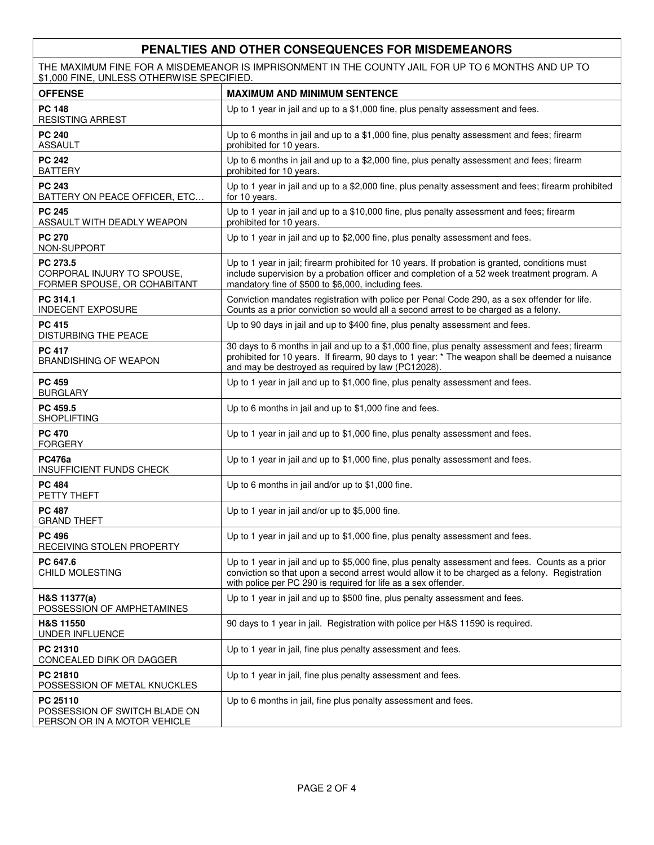# **PENALTIES AND OTHER CONSEQUENCES FOR MISDEMEANORS**

THE MAXIMUM FINE FOR A MISDEMEANOR IS IMPRISONMENT IN THE COUNTY JAIL FOR UP TO 6 MONTHS AND UP TO \$1,000 FINE, UNLESS OTHERWISE SPECIFIED.

| <b>OFFENSE</b>                                                            | <b>MAXIMUM AND MINIMUM SENTENCE</b>                                                                                                                                                                                                                                  |
|---------------------------------------------------------------------------|----------------------------------------------------------------------------------------------------------------------------------------------------------------------------------------------------------------------------------------------------------------------|
| <b>PC 148</b><br><b>RESISTING ARREST</b>                                  | Up to 1 year in jail and up to a \$1,000 fine, plus penalty assessment and fees.                                                                                                                                                                                     |
| <b>PC 240</b><br><b>ASSAULT</b>                                           | Up to 6 months in jail and up to a \$1,000 fine, plus penalty assessment and fees; firearm<br>prohibited for 10 years.                                                                                                                                               |
| <b>PC 242</b><br><b>BATTERY</b>                                           | Up to 6 months in jail and up to a \$2,000 fine, plus penalty assessment and fees; firearm<br>prohibited for 10 years.                                                                                                                                               |
| <b>PC 243</b><br>BATTERY ON PEACE OFFICER, ETC                            | Up to 1 year in jail and up to a \$2,000 fine, plus penalty assessment and fees; firearm prohibited<br>for 10 years.                                                                                                                                                 |
| <b>PC 245</b><br>ASSAULT WITH DEADLY WEAPON                               | Up to 1 year in jail and up to a \$10,000 fine, plus penalty assessment and fees; firearm<br>prohibited for 10 years.                                                                                                                                                |
| <b>PC 270</b><br>NON-SUPPORT                                              | Up to 1 year in jail and up to \$2,000 fine, plus penalty assessment and fees.                                                                                                                                                                                       |
| PC 273.5<br>CORPORAL INJURY TO SPOUSE.<br>FORMER SPOUSE, OR COHABITANT    | Up to 1 year in jail; firearm prohibited for 10 years. If probation is granted, conditions must<br>include supervision by a probation officer and completion of a 52 week treatment program. A<br>mandatory fine of \$500 to \$6,000, including fees.                |
| PC 314.1<br><b>INDECENT EXPOSURE</b>                                      | Conviction mandates registration with police per Penal Code 290, as a sex offender for life.<br>Counts as a prior conviction so would all a second arrest to be charged as a felony.                                                                                 |
| <b>PC 415</b><br>DISTURBING THE PEACE                                     | Up to 90 days in jail and up to \$400 fine, plus penalty assessment and fees.                                                                                                                                                                                        |
| <b>PC 417</b><br><b>BRANDISHING OF WEAPON</b>                             | 30 days to 6 months in jail and up to a \$1,000 fine, plus penalty assessment and fees; firearm<br>prohibited for 10 years. If firearm, 90 days to 1 year: * The weapon shall be deemed a nuisance<br>and may be destroyed as required by law (PC12028).             |
| <b>PC 459</b><br><b>BURGLARY</b>                                          | Up to 1 year in jail and up to \$1,000 fine, plus penalty assessment and fees.                                                                                                                                                                                       |
| PC 459.5<br><b>SHOPLIFTING</b>                                            | Up to 6 months in jail and up to \$1,000 fine and fees.                                                                                                                                                                                                              |
| <b>PC 470</b><br><b>FORGERY</b>                                           | Up to 1 year in jail and up to \$1,000 fine, plus penalty assessment and fees.                                                                                                                                                                                       |
| <b>PC476a</b><br><b>INSUFFICIENT FUNDS CHECK</b>                          | Up to 1 year in jail and up to \$1,000 fine, plus penalty assessment and fees.                                                                                                                                                                                       |
| <b>PC 484</b><br>PETTY THEFT                                              | Up to 6 months in jail and/or up to \$1,000 fine.                                                                                                                                                                                                                    |
| <b>PC 487</b><br><b>GRAND THEFT</b>                                       | Up to 1 year in jail and/or up to \$5,000 fine.                                                                                                                                                                                                                      |
| <b>PC 496</b><br>RECEIVING STOLEN PROPERTY                                | Up to 1 year in jail and up to \$1,000 fine, plus penalty assessment and fees.                                                                                                                                                                                       |
| PC 647.6<br>CHILD MOLESTING                                               | Up to 1 year in jail and up to \$5,000 fine, plus penalty assessment and fees. Counts as a prior<br>conviction so that upon a second arrest would allow it to be charged as a felony. Registration<br>with police per PC 290 is required for life as a sex offender. |
| H&S 11377(a)<br>POSSESSION OF AMPHETAMINES                                | Up to 1 year in jail and up to \$500 fine, plus penalty assessment and fees.                                                                                                                                                                                         |
| H&S 11550<br>UNDER INFLUENCE                                              | 90 days to 1 year in jail. Registration with police per H&S 11590 is required.                                                                                                                                                                                       |
| PC 21310<br>CONCEALED DIRK OR DAGGER                                      | Up to 1 year in jail, fine plus penalty assessment and fees.                                                                                                                                                                                                         |
| PC 21810<br>POSSESSION OF METAL KNUCKLES                                  | Up to 1 year in jail, fine plus penalty assessment and fees.                                                                                                                                                                                                         |
| PC 25110<br>POSSESSION OF SWITCH BLADE ON<br>PERSON OR IN A MOTOR VEHICLE | Up to 6 months in jail, fine plus penalty assessment and fees.                                                                                                                                                                                                       |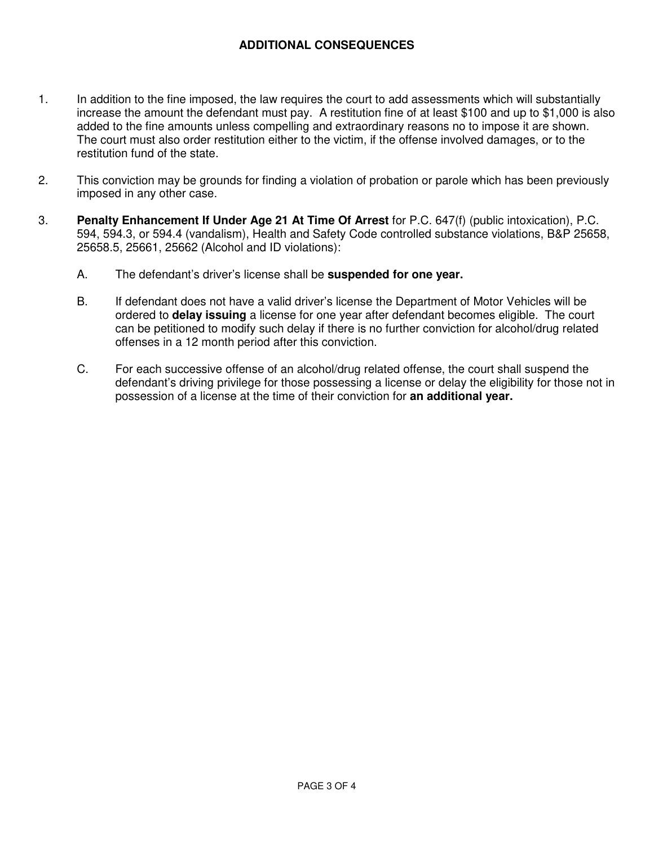# **ADDITIONAL CONSEQUENCES**

- 1. In addition to the fine imposed, the law requires the court to add assessments which will substantially increase the amount the defendant must pay. A restitution fine of at least \$100 and up to \$1,000 is also added to the fine amounts unless compelling and extraordinary reasons no to impose it are shown. The court must also order restitution either to the victim, if the offense involved damages, or to the restitution fund of the state.
- 2. This conviction may be grounds for finding a violation of probation or parole which has been previously imposed in any other case.
- 3. **Penalty Enhancement If Under Age 21 At Time Of Arrest** for P.C. 647(f) (public intoxication), P.C. 594, 594.3, or 594.4 (vandalism), Health and Safety Code controlled substance violations, B&P 25658, 25658.5, 25661, 25662 (Alcohol and ID violations):
	- A. The defendant's driver's license shall be **suspended for one year.**
	- B. If defendant does not have a valid driver's license the Department of Motor Vehicles will be ordered to **delay issuing** a license for one year after defendant becomes eligible. The court can be petitioned to modify such delay if there is no further conviction for alcohol/drug related offenses in a 12 month period after this conviction.
	- C. For each successive offense of an alcohol/drug related offense, the court shall suspend the defendant's driving privilege for those possessing a license or delay the eligibility for those not in possession of a license at the time of their conviction for **an additional year.**